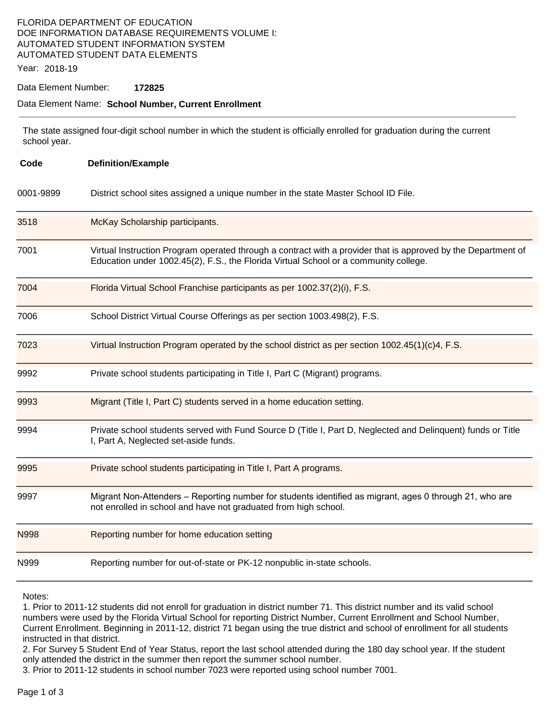### FLORIDA DEPARTMENT OF EDUCATION DOE INFORMATION DATABASE REQUIREMENTS VOLUME I: AUTOMATED STUDENT INFORMATION SYSTEM AUTOMATED STUDENT DATA ELEMENTS

Year: 2018-19

#### Data Element Number: **172825**

#### Data Element Name: **School Number, Current Enrollment**

The state assigned four-digit school number in which the student is officially enrolled for graduation during the current school year.

| Code      | <b>Definition/Example</b>                                                                                                                                                                             |
|-----------|-------------------------------------------------------------------------------------------------------------------------------------------------------------------------------------------------------|
| 0001-9899 | District school sites assigned a unique number in the state Master School ID File.                                                                                                                    |
| 3518      | McKay Scholarship participants.                                                                                                                                                                       |
| 7001      | Virtual Instruction Program operated through a contract with a provider that is approved by the Department of<br>Education under 1002.45(2), F.S., the Florida Virtual School or a community college. |
| 7004      | Florida Virtual School Franchise participants as per 1002.37(2)(i), F.S.                                                                                                                              |
| 7006      | School District Virtual Course Offerings as per section 1003.498(2), F.S.                                                                                                                             |
| 7023      | Virtual Instruction Program operated by the school district as per section $1002.45(1)(c)4$ , F.S.                                                                                                    |
| 9992      | Private school students participating in Title I, Part C (Migrant) programs.                                                                                                                          |
| 9993      | Migrant (Title I, Part C) students served in a home education setting.                                                                                                                                |
| 9994      | Private school students served with Fund Source D (Title I, Part D, Neglected and Delinquent) funds or Title<br>I, Part A, Neglected set-aside funds.                                                 |
| 9995      | Private school students participating in Title I, Part A programs.                                                                                                                                    |
| 9997      | Migrant Non-Attenders – Reporting number for students identified as migrant, ages 0 through 21, who are<br>not enrolled in school and have not graduated from high school.                            |
| N998      | Reporting number for home education setting                                                                                                                                                           |
| N999      | Reporting number for out-of-state or PK-12 nonpublic in-state schools.                                                                                                                                |

Notes:

1. Prior to 2011-12 students did not enroll for graduation in district number 71. This district number and its valid school numbers were used by the Florida Virtual School for reporting District Number, Current Enrollment and School Number, Current Enrollment. Beginning in 2011-12, district 71 began using the true district and school of enrollment for all students instructed in that district.

2. For Survey 5 Student End of Year Status, report the last school attended during the 180 day school year. If the student only attended the district in the summer then report the summer school number.

3. Prior to 2011-12 students in school number 7023 were reported using school number 7001.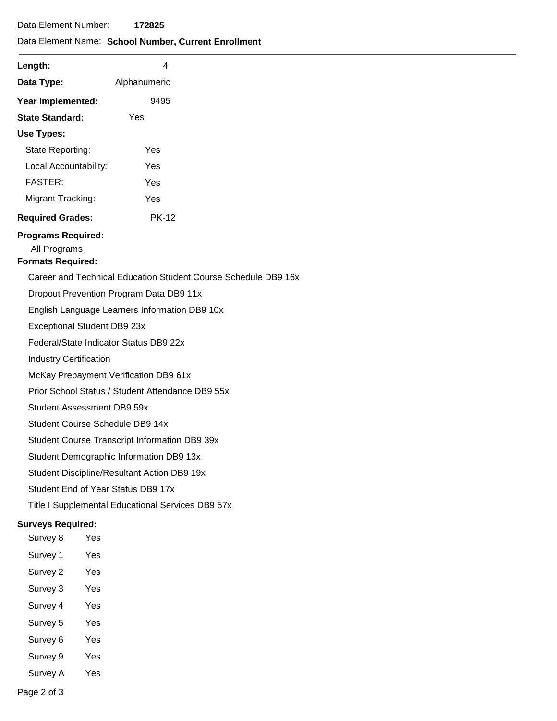### Data Element Name: **School Number, Current Enrollment**

| Length:                                          | 4                                                              |  |  |  |  |  |
|--------------------------------------------------|----------------------------------------------------------------|--|--|--|--|--|
| Data Type:                                       | Alphanumeric                                                   |  |  |  |  |  |
| Year Implemented:                                | 9495                                                           |  |  |  |  |  |
| <b>State Standard:</b>                           | Yes                                                            |  |  |  |  |  |
| Use Types:                                       |                                                                |  |  |  |  |  |
| State Reporting:                                 | Yes                                                            |  |  |  |  |  |
| Local Accountability:                            | Yes                                                            |  |  |  |  |  |
| <b>FASTER:</b>                                   | Yes                                                            |  |  |  |  |  |
| Migrant Tracking:                                | Yes                                                            |  |  |  |  |  |
| <b>Required Grades:</b>                          | <b>PK-12</b>                                                   |  |  |  |  |  |
| <b>Programs Required:</b>                        |                                                                |  |  |  |  |  |
| All Programs                                     |                                                                |  |  |  |  |  |
| <b>Formats Required:</b>                         |                                                                |  |  |  |  |  |
|                                                  | Career and Technical Education Student Course Schedule DB9 16x |  |  |  |  |  |
| Dropout Prevention Program Data DB9 11x          |                                                                |  |  |  |  |  |
| English Language Learners Information DB9 10x    |                                                                |  |  |  |  |  |
| Exceptional Student DB9 23x                      |                                                                |  |  |  |  |  |
| Federal/State Indicator Status DB9 22x           |                                                                |  |  |  |  |  |
| <b>Industry Certification</b>                    |                                                                |  |  |  |  |  |
|                                                  | McKay Prepayment Verification DB9 61x                          |  |  |  |  |  |
| Prior School Status / Student Attendance DB9 55x |                                                                |  |  |  |  |  |
|                                                  | Student Assessment DB9 59x                                     |  |  |  |  |  |
|                                                  | Student Course Schedule DB9 14x                                |  |  |  |  |  |

Student Course Transcript Information DB9 39x

Student Demographic Information DB9 13x

Student Discipline/Resultant Action DB9 19x

Student End of Year Status DB9 17x

Title I Supplemental Educational Services DB9 57x

### **Surveys Required:**

- Survey 8 Yes Survey 1 Yes Survey 2 Yes Survey 3 Yes Survey 4 Yes Survey 5 Yes Survey 6 Yes
- Survey 9 Yes
- Survey A Yes

Page 2 of 3